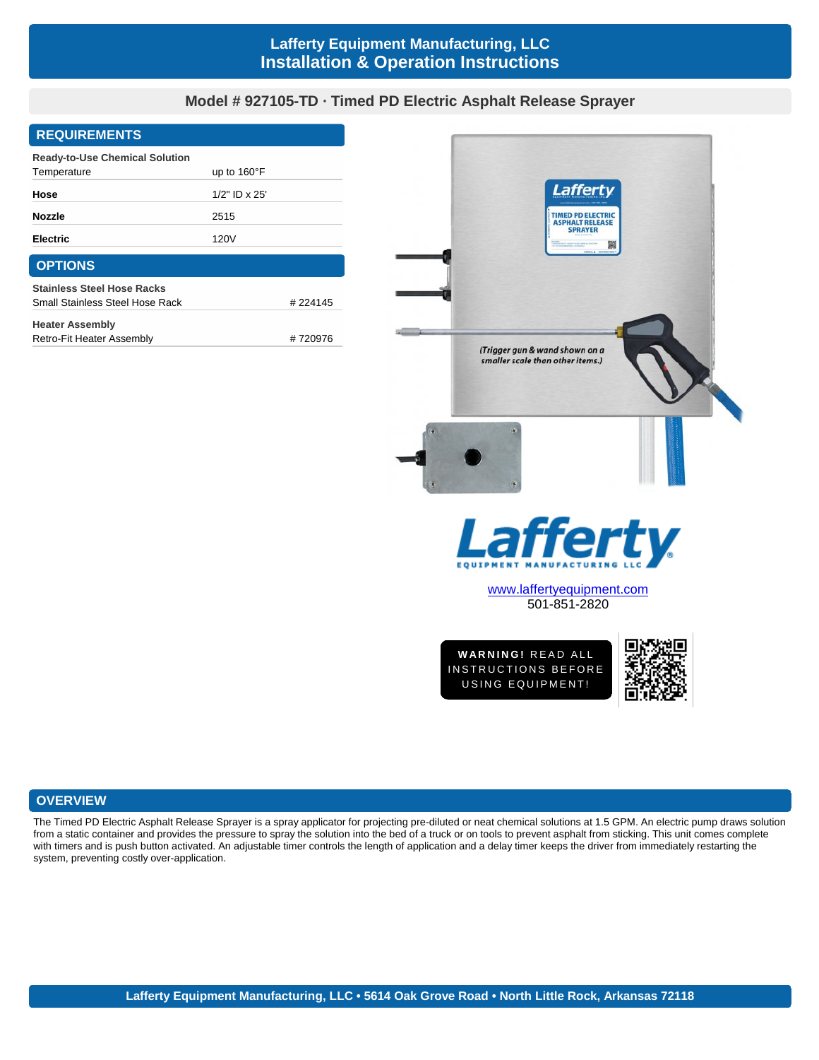# **Lafferty Equipment Manufacturing, LLC Installation & Operation Instructions**

# **Model # 927105-TD · Timed PD Electric Asphalt Release Sprayer**

#### **REQUIREMENTS**

| <b>Ready-to-Use Chemical Solution</b> |                       |         |
|---------------------------------------|-----------------------|---------|
| Temperature                           | up to $160^{\circ}$ F |         |
| Hose                                  | $1/2$ " ID x 25'      |         |
| <b>Nozzle</b>                         | 2515                  |         |
| <b>Electric</b>                       | 120V                  |         |
| <b>OPTIONS</b>                        |                       |         |
| <b>Stainless Steel Hose Racks</b>     |                       |         |
| Small Stainless Steel Hose Rack       |                       | #224145 |
| <b>Heater Assembly</b>                |                       |         |
| Retro-Fit Heater Assembly             |                       | #720976 |



501-851-2820

**WWW.laffertyequipment.com**<br>501-851-2820<br>WARNING! READ ALL<br>ISTRUCTIONS BEFORE 101-851-2820<br>
WARNING! READ ALL<br>INSTRUCTIONS BEFORE<br>
USING EQUIPMENT! VARNING! READ ALL<br>STRUCTIONS BEFORE<br>USING EQUIPMENT!



# **OVERVIEW**

The Timed PD Electric Asphalt Release Sprayer is a spray applicator for projecting pre-diluted or neat chemical solutions at 1.5 GPM. An electric pump draws solution from a static container and provides the pressure to spray the solution into the bed of a truck or on tools to prevent asphalt from sticking. This unit comes complete with timers and is push button activated. An adjustable timer controls the length of application and a delay timer keeps the driver from immediately restarting the system, preventing costly over-application.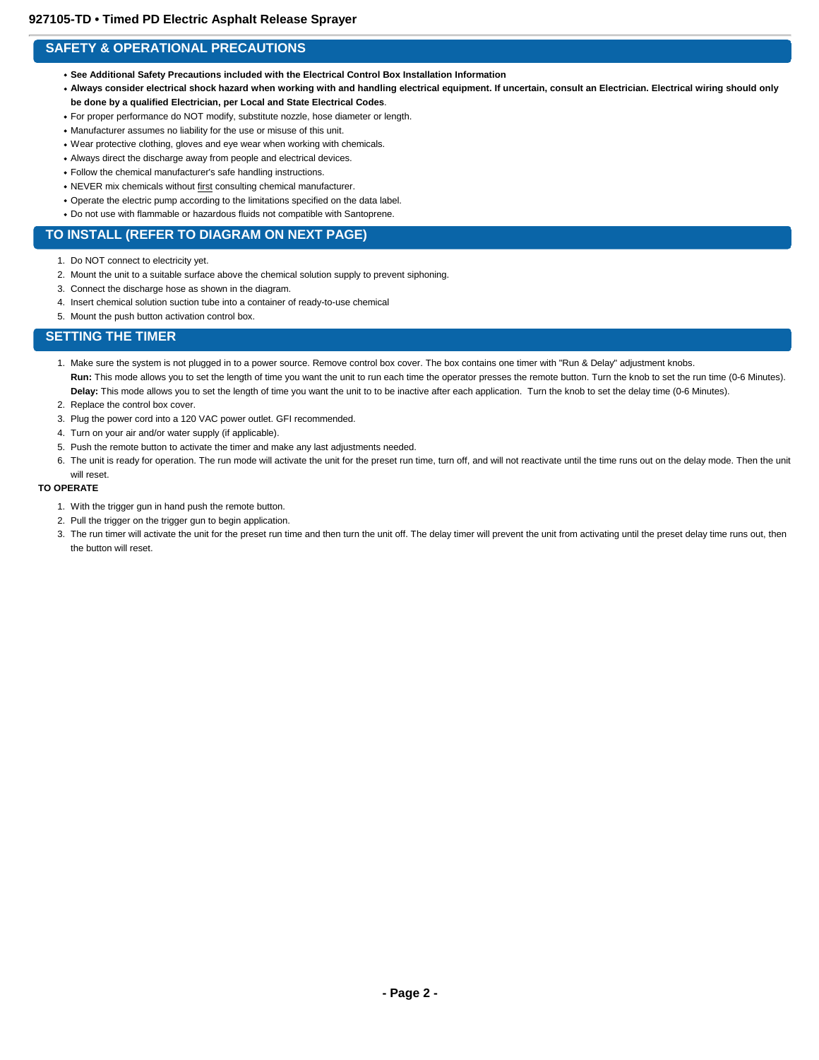# **SAFETY & OPERATIONAL PRECAUTIONS**

- **See Additional Safety Precautions included with the Electrical Control Box Installation Information**
- **Always consider electrical shock hazard when working with and handling electrical equipment. If uncertain, consult an Electrician. Electrical wiring should only be done by a qualified Electrician, per Local and State Electrical Codes**.
- For proper performance do NOT modify, substitute nozzle, hose diameter or length.
- Manufacturer assumes no liability for the use or misuse of this unit.
- Wear protective clothing, gloves and eye wear when working with chemicals.
- Always direct the discharge away from people and electrical devices.
- Follow the chemical manufacturer's safe handling instructions.
- NEVER mix chemicals without first consulting chemical manufacturer.
- Operate the electric pump according to the limitations specified on the data label.
- Do not use with flammable or hazardous fluids not compatible with Santoprene.

#### **TO INSTALL (REFER TO DIAGRAM ON NEXT PAGE)**

- 1. Do NOT connect to electricity yet.
- 2. Mount the unit to a suitable surface above the chemical solution supply to prevent siphoning.
- 3. Connect the discharge hose as shown in the diagram.
- 4. Insert chemical solution suction tube into a container of ready-to-use chemical
- 5. Mount the push button activation control box.

### **SETTING THE TIMER**

- 1. Make sure the system is not plugged in to a power source. Remove control box cover. The box contains one timer with "Run & Delay" adjustment knobs. Run: This mode allows you to set the length of time you want the unit to run each time the operator presses the remote button. Turn the knob to set the run time (0-6 Minutes). **Delay:** This mode allows you to set the length of time you want the unit to to be inactive after each application. Turn the knob to set the delay time (0-6 Minutes).
- 2. Replace the control box cover.
- 3. Plug the power cord into a 120 VAC power outlet. GFI recommended.
- 4. Turn on your air and/or water supply (if applicable).
- 5. Push the remote button to activate the timer and make any last adjustments needed.
- 6. The unit is ready for operation. The run mode will activate the unit for the preset run time, turn off, and will not reactivate until the time runs out on the delay mode. Then the unit will reset.

#### **TO OPERATE**

- 1. With the trigger gun in hand push the remote button.
- 2. Pull the trigger on the trigger gun to begin application.
- 3. The run timer will activate the unit for the preset run time and then turn the unit off. The delay timer will prevent the unit from activating until the preset delay time runs out, then the button will reset.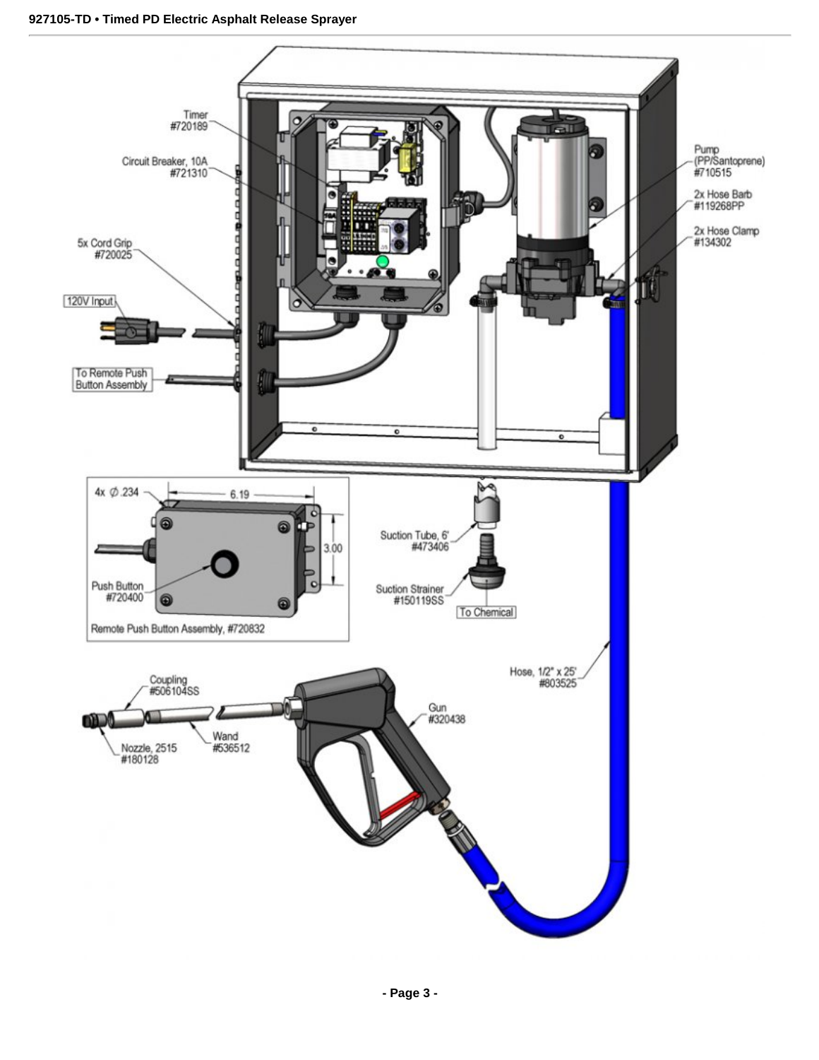